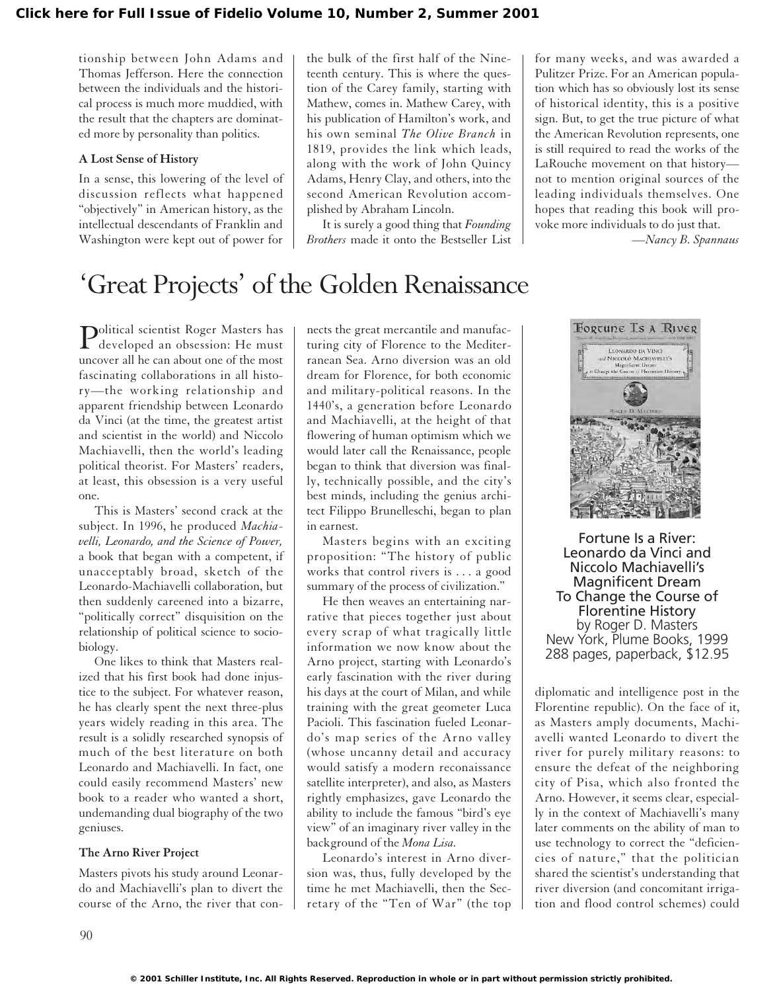tionship between John Adams and Thomas Jefferson. Here the connection between the individuals and the historical process is much more muddied, with the result that the chapters are dominated more by personality than politics.

#### **A Lost Sense of History**

In a sense, this lowering of the level of discussion reflects what happened "objectively" in American history, as the intellectual descendants of Franklin and Washington were kept out of power for

the bulk of the first half of the Nineteenth century. This is where the question of the Carey family, starting with Mathew, comes in. Mathew Carey, with his publication of Hamilton's work, and his own seminal *The Olive Branch* in 1819, provides the link which leads, along with the work of John Quincy Adams, Henry Clay, and others, into the second American Revolution accomplished by Abraham Lincoln.

It is surely a good thing that *Founding Brothers* made it onto the Bestseller List

for many weeks, and was awarded a Pulitzer Prize. For an American population which has so obviously lost its sense of historical identity, this is a positive sign. But, to get the true picture of what the American Revolution represents, one is still required to read the works of the LaRouche movement on that history not to mention original sources of the leading individuals themselves. One hopes that reading this book will provoke more individuals to do just that.

*—Nancy B. Spannaus*

## 'Great Projects' of the Golden Renaissance

Political scientist Roger Masters has developed an obsession: He must uncover all he can about one of the most fascinating collaborations in all history—the working relationship and apparent friendship between Leonardo da Vinci (at the time, the greatest artist and scientist in the world) and Niccolo Machiavelli, then the world's leading political theorist. For Masters' readers, at least, this obsession is a very useful one.

This is Masters' second crack at the subject. In 1996, he produced *Machiavelli, Leonardo, and the Science of Power,* a book that began with a competent, if unacceptably broad, sketch of the Leonardo-Machiavelli collaboration, but then suddenly careened into a bizarre, "politically correct" disquisition on the relationship of political science to sociobiology.

One likes to think that Masters realized that his first book had done injustice to the subject. For whatever reason, he has clearly spent the next three-plus years widely reading in this area. The result is a solidly researched synopsis of much of the best literature on both Leonardo and Machiavelli. In fact, one could easily recommend Masters' new book to a reader who wanted a short, undemanding dual biography of the two geniuses.

#### **The Arno River Project**

Masters pivots his study around Leonardo and Machiavelli's plan to divert the course of the Arno, the river that connects the great mercantile and manufacturing city of Florence to the Mediterranean Sea. Arno diversion was an old dream for Florence, for both economic and military-political reasons. In the 1440's, a generation before Leonardo and Machiavelli, at the height of that flowering of human optimism which we would later call the Renaissance, people began to think that diversion was finally, technically possible, and the city's best minds, including the genius architect Filippo Brunelleschi, began to plan in earnest.

Masters begins with an exciting proposition: "The history of public works that control rivers is . . . a good summary of the process of civilization."

He then weaves an entertaining narrative that pieces together just about every scrap of what tragically little information we now know about the Arno project, starting with Leonardo's early fascination with the river during his days at the court of Milan, and while training with the great geometer Luca Pacioli. This fascination fueled Leonardo's map series of the Arno valley (whose uncanny detail and accuracy would satisfy a modern reconaissance satellite interpreter), and also, as Masters rightly emphasizes, gave Leonardo the ability to include the famous "bird's eye view" of an imaginary river valley in the background of the *Mona Lisa.*

Leonardo's interest in Arno diversion was, thus, fully developed by the time he met Machiavelli, then the Secretary of the "Ten of War" (the top



Fortune Is a River: Leonardo da Vinci and Niccolo Machiavelli's Magnificent Dream To Change the Course of Florentine History by Roger D. Masters New York, Plume Books, 1999 288 pages, paperback, \$12.95

diplomatic and intelligence post in the Florentine republic). On the face of it, as Masters amply documents, Machiavelli wanted Leonardo to divert the river for purely military reasons: to ensure the defeat of the neighboring city of Pisa, which also fronted the Arno. However, it seems clear, especially in the context of Machiavelli's many later comments on the ability of man to use technology to correct the "deficiencies of nature," that the politician shared the scientist's understanding that river diversion (and concomitant irrigation and flood control schemes) could